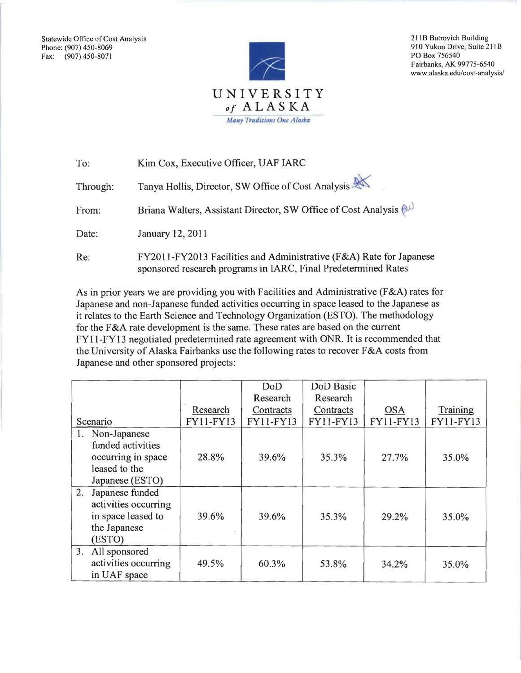Fax: (907) 450-8071



910 Yukon Drive, Suite 211B<br>PO Box 756540 Fairbanks, AK 99775-6540 www.alaska.edu/cost-analysis/

| To:      | Kim Cox, Executive Officer, UAF IARC                                                                                                  |
|----------|---------------------------------------------------------------------------------------------------------------------------------------|
| Through: | Tanya Hollis, Director, SW Office of Cost Analysis                                                                                    |
| From:    | Briana Walters, Assistant Director, SW Office of Cost Analysis (                                                                      |
| Date:    | January 12, 2011                                                                                                                      |
| Re:      | FY2011-FY2013 Facilities and Administrative (F&A) Rate for Japanese<br>sponsored research programs in IARC, Final Predetermined Rates |

As in prior years we are providing you with Facilities and Administrative (F&A) rates for Japanese and non-Japanese funded activities occurring in space leased to the Japanese as it relates to the Earth Science and Technology Organization (ESTO). The methodology for the F&A rate development is the same. These rates are based on the current FYII-FYI3 negotiated predetermined rate agreement with ONR. It is recommended that the University of Alaska Fairbanks use the following rates to recover F&A costs from Japanese and other sponsored projects:

|                       |           | DoD       | DoD Basic |            |           |
|-----------------------|-----------|-----------|-----------|------------|-----------|
|                       |           | Research  | Research  |            |           |
|                       | Research  | Contracts | Contracts | <b>OSA</b> | Training  |
| Scenario              | FY11-FY13 | FY11-FY13 | FY11-FY13 | FY11-FY13  | FY11-FY13 |
| Non-Japanese<br>1.    |           |           |           |            |           |
| funded activities     |           |           |           |            |           |
| occurring in space    | 28.8%     | 39.6%     | 35.3%     | 27.7%      | 35.0%     |
| leased to the         |           |           |           |            |           |
| Japanese (ESTO)       |           |           |           |            |           |
| 2.<br>Japanese funded |           |           |           |            |           |
| activities occurring  |           |           |           |            |           |
| in space leased to    | 39.6%     | 39.6%     | 35.3%     | 29.2%      | 35.0%     |
| the Japanese          |           |           |           |            |           |
| (ESTO)                |           |           |           |            |           |
| 3.<br>All sponsored   |           |           |           |            |           |
| activities occurring  | 49.5%     | 60.3%     | 53.8%     | 34.2%      | 35.0%     |
| in UAF space          |           |           |           |            |           |